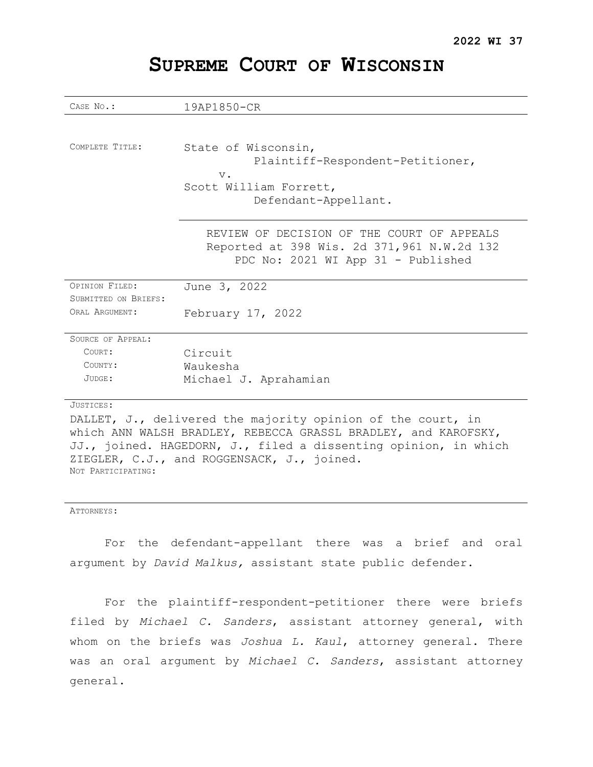| CASE No.:                | 19AP1850-CR                                                                                                                                                                                                                      |
|--------------------------|----------------------------------------------------------------------------------------------------------------------------------------------------------------------------------------------------------------------------------|
|                          |                                                                                                                                                                                                                                  |
|                          |                                                                                                                                                                                                                                  |
| COMPLETE TITLE:          | State of Wisconsin,                                                                                                                                                                                                              |
|                          | Plaintiff-Respondent-Petitioner,                                                                                                                                                                                                 |
|                          | $V$ .                                                                                                                                                                                                                            |
|                          | Scott William Forrett,                                                                                                                                                                                                           |
|                          | Defendant-Appellant.                                                                                                                                                                                                             |
|                          |                                                                                                                                                                                                                                  |
|                          |                                                                                                                                                                                                                                  |
|                          | REVIEW OF DECISION OF THE COURT OF APPEALS                                                                                                                                                                                       |
|                          | Reported at 398 Wis. 2d 371,961 N.W.2d 132                                                                                                                                                                                       |
|                          | PDC No: 2021 WI App 31 - Published                                                                                                                                                                                               |
|                          |                                                                                                                                                                                                                                  |
| OPINION FILED:           | June 3, 2022                                                                                                                                                                                                                     |
| SUBMITTED ON BRIEFS:     |                                                                                                                                                                                                                                  |
| ORAL ARGUMENT:           | February 17, 2022                                                                                                                                                                                                                |
|                          |                                                                                                                                                                                                                                  |
| <b>SOURCE OF APPEAL:</b> |                                                                                                                                                                                                                                  |
| COURT:                   | Circuit                                                                                                                                                                                                                          |
| COUNTY:                  | Waukesha                                                                                                                                                                                                                         |
| JUDGE:                   | Michael J. Aprahamian                                                                                                                                                                                                            |
|                          |                                                                                                                                                                                                                                  |
| JUSTICES:                |                                                                                                                                                                                                                                  |
|                          | $\mathbf{r}$ , and the set of the set of the set of the set of the set of the set of the set of the set of the set of the set of the set of the set of the set of the set of the set of the set of the set of the set of the set |

# **SUPREME COURT OF WISCONSIN**

DALLET, J., delivered the majority opinion of the court, in which ANN WALSH BRADLEY, REBECCA GRASSL BRADLEY, and KAROFSKY, JJ., joined. HAGEDORN, J., filed a dissenting opinion, in which ZIEGLER, C.J., and ROGGENSACK, J., joined. NOT PARTICIPATING:

#### ATTORNEYS:

For the defendant-appellant there was a brief and oral argument by *David Malkus,* assistant state public defender.

For the plaintiff-respondent-petitioner there were briefs filed by *Michael C. Sanders*, assistant attorney general, with whom on the briefs was *Joshua L. Kaul*, attorney general. There was an oral argument by *Michael C. Sanders*, assistant attorney general.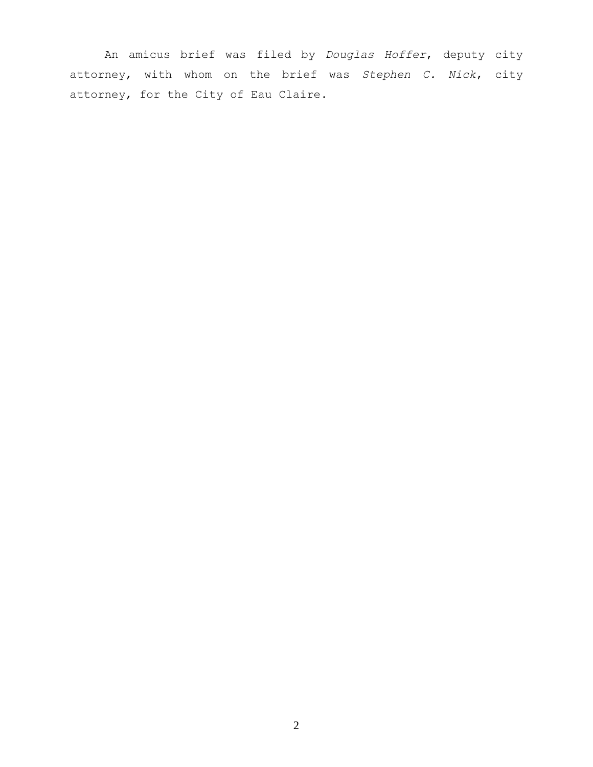An amicus brief was filed by *Douglas Hoffer*, deputy city attorney, with whom on the brief was *Stephen C. Nick*, city attorney, for the City of Eau Claire.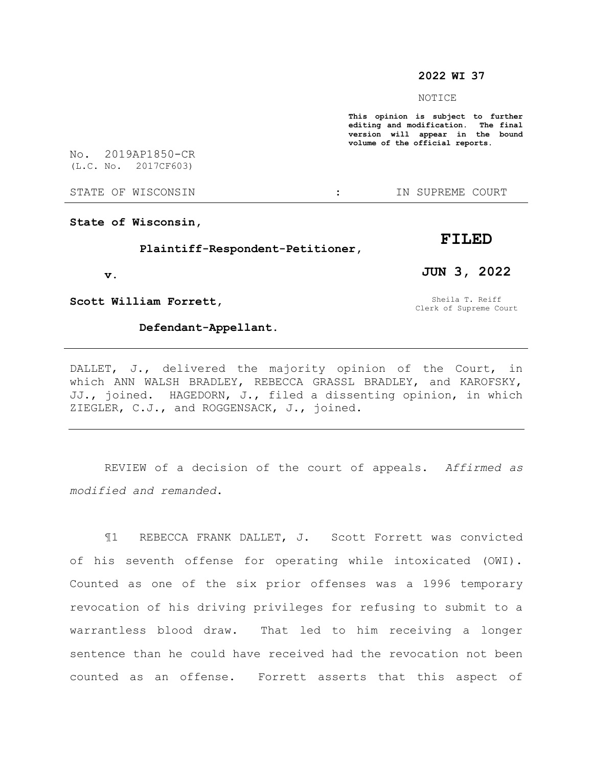## **2022 WI 37**

#### NOTICE

**This opinion is subject to further editing and modification. The final version will appear in the bound volume of the official reports.** 

No. 2019AP1850-CR (L.C. No. 2017CF603)

STATE OF WISCONSIN THE RESERVE STATE OF WISCONSIN THE SERVER SOURT

**State of Wisconsin,**

 **Plaintiff-Respondent-Petitioner,**

 **v.**

**Scott William Forrett,**

## **Defendant-Appellant.**

Sheila T. Reiff Clerk of Supreme Court

**JUN 3, 2022**

**FILED**

DALLET, J., delivered the majority opinion of the Court, in which ANN WALSH BRADLEY, REBECCA GRASSL BRADLEY, and KAROFSKY, JJ., joined. HAGEDORN, J., filed a dissenting opinion, in which ZIEGLER, C.J., and ROGGENSACK, J., joined.

REVIEW of a decision of the court of appeals. *Affirmed as modified and remanded*.

¶1 REBECCA FRANK DALLET, J. Scott Forrett was convicted of his seventh offense for operating while intoxicated (OWI). Counted as one of the six prior offenses was a 1996 temporary revocation of his driving privileges for refusing to submit to a warrantless blood draw. That led to him receiving a longer sentence than he could have received had the revocation not been counted as an offense. Forrett asserts that this aspect of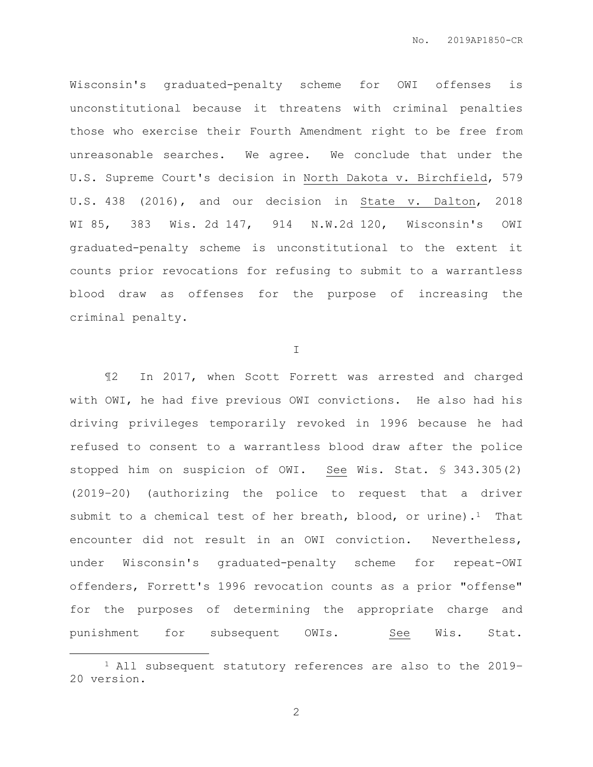Wisconsin's graduated-penalty scheme for OWI offenses is unconstitutional because it threatens with criminal penalties those who exercise their Fourth Amendment right to be free from unreasonable searches. We agree. We conclude that under the U.S. Supreme Court's decision in North Dakota v. Birchfield, 579 U.S. 438 (2016), and our decision in State v. Dalton, 2018 WI 85, 383 Wis. 2d 147, 914 N.W.2d 120, Wisconsin's OWI graduated-penalty scheme is unconstitutional to the extent it counts prior revocations for refusing to submit to a warrantless blood draw as offenses for the purpose of increasing the criminal penalty.

I

¶2 In 2017, when Scott Forrett was arrested and charged with OWI, he had five previous OWI convictions. He also had his driving privileges temporarily revoked in 1996 because he had refused to consent to a warrantless blood draw after the police stopped him on suspicion of OWI. See Wis. Stat. § 343.305(2) (2019–20) (authorizing the police to request that a driver submit to a chemical test of her breath, blood, or urine).<sup>1</sup> That encounter did not result in an OWI conviction. Nevertheless, under Wisconsin's graduated-penalty scheme for repeat-OWI offenders, Forrett's 1996 revocation counts as a prior "offense" for the purposes of determining the appropriate charge and punishment for subsequent OWIs. See Wis. Stat.

 $\overline{a}$ 

<sup>1</sup> All subsequent statutory references are also to the 2019– 20 version.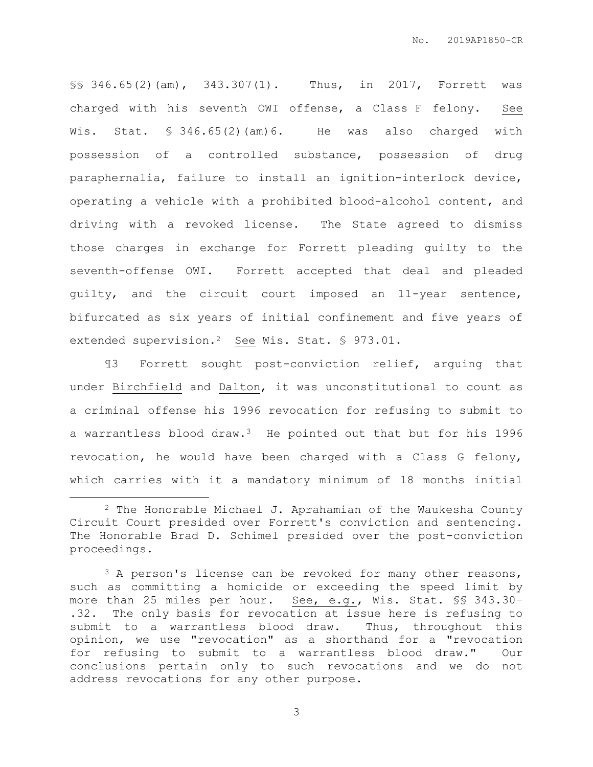§§ 346.65(2)(am), 343.307(1). Thus, in 2017, Forrett was charged with his seventh OWI offense, a Class F felony. See Wis. Stat. § 346.65(2)(am)6. He was also charged with possession of a controlled substance, possession of drug paraphernalia, failure to install an ignition-interlock device, operating a vehicle with a prohibited blood-alcohol content, and driving with a revoked license. The State agreed to dismiss those charges in exchange for Forrett pleading guilty to the seventh-offense OWI. Forrett accepted that deal and pleaded guilty, and the circuit court imposed an 11-year sentence, bifurcated as six years of initial confinement and five years of extended supervision.<sup>2</sup> See Wis. Stat. § 973.01.

¶3 Forrett sought post-conviction relief, arguing that under Birchfield and Dalton, it was unconstitutional to count as a criminal offense his 1996 revocation for refusing to submit to a warrantless blood draw.3 He pointed out that but for his 1996 revocation, he would have been charged with a Class G felony, which carries with it a mandatory minimum of 18 months initial

 $\overline{a}$ 

 $2$  The Honorable Michael J. Aprahamian of the Waukesha County Circuit Court presided over Forrett's conviction and sentencing. The Honorable Brad D. Schimel presided over the post-conviction proceedings.

<sup>&</sup>lt;sup>3</sup> A person's license can be revoked for many other reasons, such as committing a homicide or exceeding the speed limit by more than 25 miles per hour. See, e.g., Wis. Stat. §§ 343.30– .32. The only basis for revocation at issue here is refusing to submit to a warrantless blood draw. Thus, throughout this opinion, we use "revocation" as a shorthand for a "revocation for refusing to submit to a warrantless blood draw." Our conclusions pertain only to such revocations and we do not address revocations for any other purpose.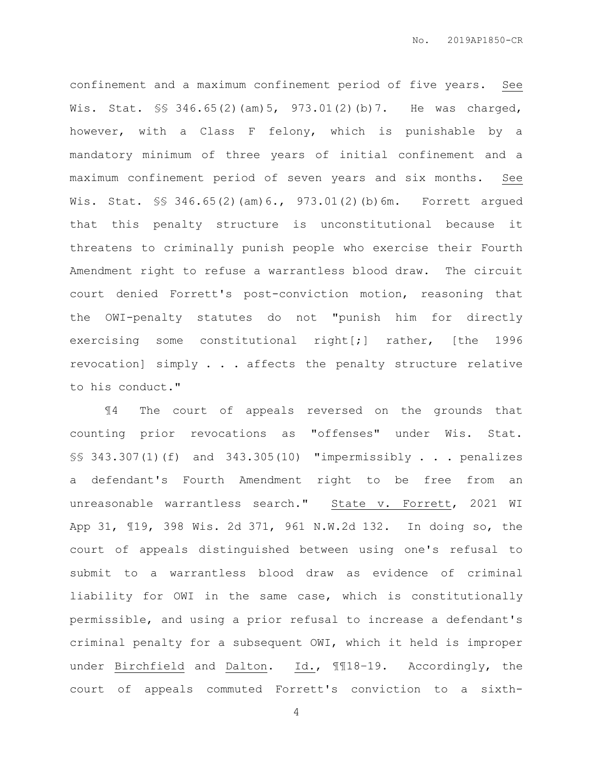confinement and a maximum confinement period of five years. See Wis. Stat. §§ 346.65(2)(am)5, 973.01(2)(b)7. He was charged, however, with a Class F felony, which is punishable by a mandatory minimum of three years of initial confinement and a maximum confinement period of seven years and six months. See Wis. Stat. \$\$ 346.65(2)(am) 6., 973.01(2)(b)6m. Forrett argued that this penalty structure is unconstitutional because it threatens to criminally punish people who exercise their Fourth Amendment right to refuse a warrantless blood draw. The circuit court denied Forrett's post-conviction motion, reasoning that the OWI-penalty statutes do not "punish him for directly exercising some constitutional right[;] rather, [the 1996 revocation] simply . . . affects the penalty structure relative to his conduct."

¶4 The court of appeals reversed on the grounds that counting prior revocations as "offenses" under Wis. Stat. §§ 343.307(1)(f) and 343.305(10) "impermissibly . . . penalizes a defendant's Fourth Amendment right to be free from an unreasonable warrantless search." State v. Forrett, 2021 WI App 31, ¶19, 398 Wis. 2d 371, 961 N.W.2d 132. In doing so, the court of appeals distinguished between using one's refusal to submit to a warrantless blood draw as evidence of criminal liability for OWI in the same case, which is constitutionally permissible, and using a prior refusal to increase a defendant's criminal penalty for a subsequent OWI, which it held is improper under Birchfield and Dalton. Id., ¶¶18–19. Accordingly, the court of appeals commuted Forrett's conviction to a sixth-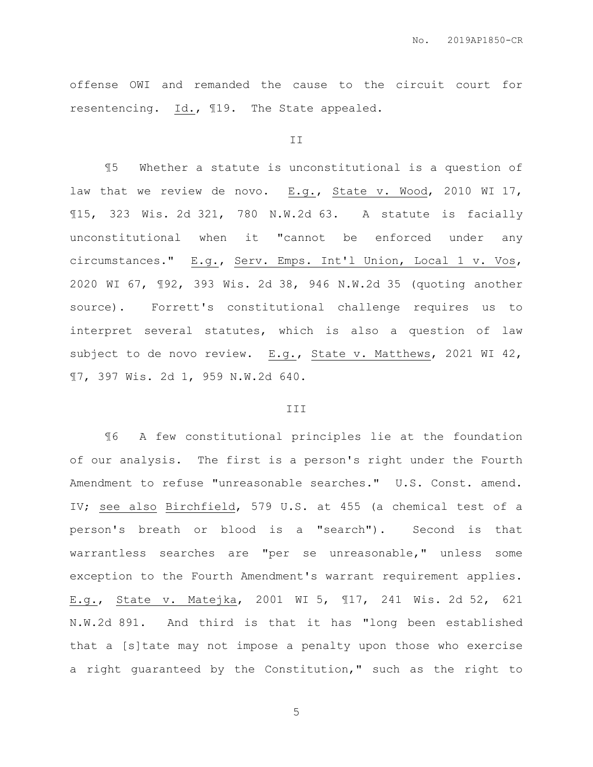offense OWI and remanded the cause to the circuit court for resentencing. Id., ¶19. The State appealed.

#### II

¶5 Whether a statute is unconstitutional is a question of law that we review de novo. E.g., State v. Wood, 2010 WI 17, ¶15, 323 Wis. 2d 321, 780 N.W.2d 63. A statute is facially unconstitutional when it "cannot be enforced under any circumstances." E.g., Serv. Emps. Int'l Union, Local 1 v. Vos, 2020 WI 67, ¶92, 393 Wis. 2d 38, 946 N.W.2d 35 (quoting another source). Forrett's constitutional challenge requires us to interpret several statutes, which is also a question of law subject to de novo review. E.g., State v. Matthews, 2021 WI 42, ¶7, 397 Wis. 2d 1, 959 N.W.2d 640.

### III

¶6 A few constitutional principles lie at the foundation of our analysis. The first is a person's right under the Fourth Amendment to refuse "unreasonable searches." U.S. Const. amend. IV; see also Birchfield, 579 U.S. at 455 (a chemical test of a person's breath or blood is a "search"). Second is that warrantless searches are "per se unreasonable," unless some exception to the Fourth Amendment's warrant requirement applies. E.g., State v. Matejka, 2001 WI 5, ¶17, 241 Wis. 2d 52, 621 N.W.2d 891. And third is that it has "long been established that a [s]tate may not impose a penalty upon those who exercise a right guaranteed by the Constitution," such as the right to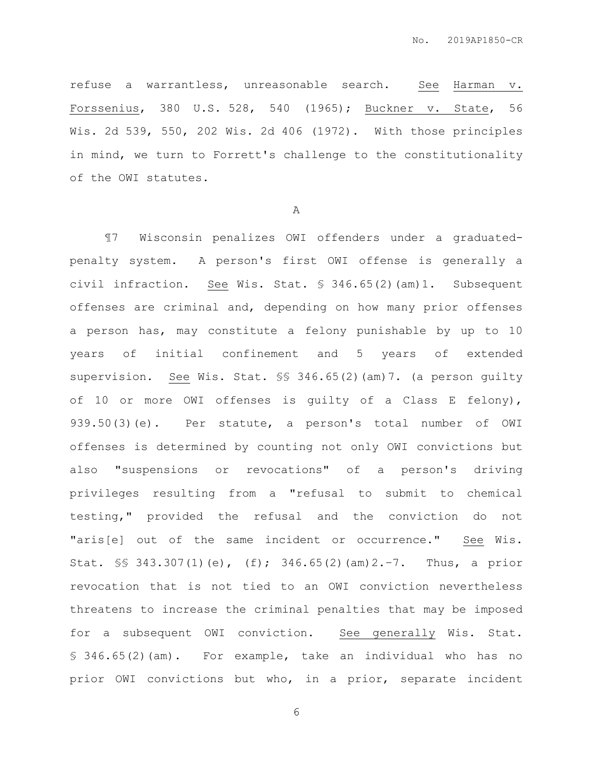refuse a warrantless, unreasonable search. See Harman v. Forssenius, 380 U.S. 528, 540 (1965); Buckner v. State, 56 Wis. 2d 539, 550, 202 Wis. 2d 406 (1972). With those principles in mind, we turn to Forrett's challenge to the constitutionality of the OWI statutes.

A

¶7 Wisconsin penalizes OWI offenders under a graduatedpenalty system. A person's first OWI offense is generally a civil infraction. See Wis. Stat. § 346.65(2)(am)1. Subsequent offenses are criminal and, depending on how many prior offenses a person has, may constitute a felony punishable by up to 10 years of initial confinement and 5 years of extended supervision. See Wis. Stat. §§ 346.65(2)(am)7. (a person guilty of 10 or more OWI offenses is guilty of a Class E felony), 939.50(3)(e). Per statute, a person's total number of OWI offenses is determined by counting not only OWI convictions but also "suspensions or revocations" of a person's driving privileges resulting from a "refusal to submit to chemical testing," provided the refusal and the conviction do not "aris[e] out of the same incident or occurrence." See Wis. Stat. §§ 343.307(1)(e), (f); 346.65(2)(am)2.–7. Thus, a prior revocation that is not tied to an OWI conviction nevertheless threatens to increase the criminal penalties that may be imposed for a subsequent OWI conviction. See generally Wis. Stat. § 346.65(2)(am). For example, take an individual who has no prior OWI convictions but who, in a prior, separate incident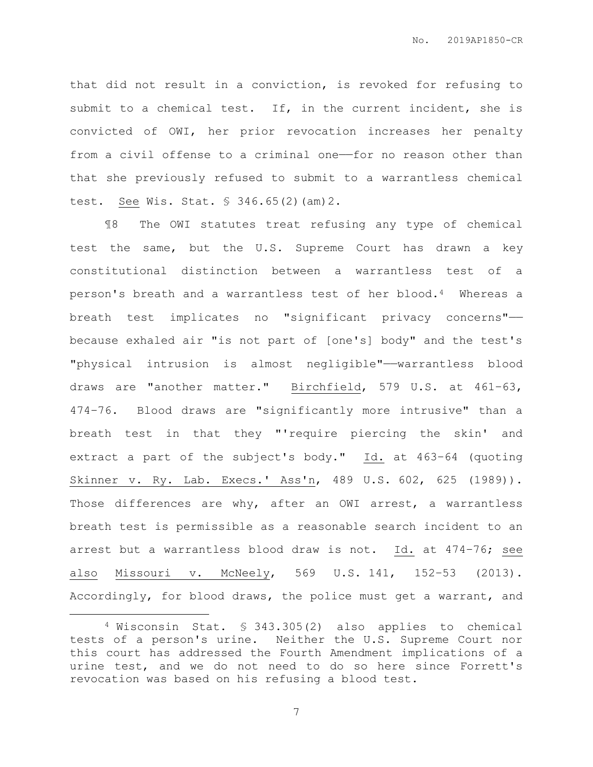that did not result in a conviction, is revoked for refusing to submit to a chemical test. If, in the current incident, she is convicted of OWI, her prior revocation increases her penalty from a civil offense to a criminal one-for no reason other than that she previously refused to submit to a warrantless chemical test. See Wis. Stat. § 346.65(2)(am)2.

¶8 The OWI statutes treat refusing any type of chemical test the same, but the U.S. Supreme Court has drawn a key constitutional distinction between a warrantless test of a person's breath and a warrantless test of her blood.4 Whereas a breath test implicates no "significant privacy concerns"— because exhaled air "is not part of [one's] body" and the test's "physical intrusion is almost negligible"——warrantless blood draws are "another matter." Birchfield, 579 U.S. at 461–63, 474–76. Blood draws are "significantly more intrusive" than a breath test in that they "'require piercing the skin' and extract a part of the subject's body." Id. at 463–64 (quoting Skinner v. Ry. Lab. Execs.' Ass'n, 489 U.S. 602, 625 (1989)). Those differences are why, after an OWI arrest, a warrantless breath test is permissible as a reasonable search incident to an arrest but a warrantless blood draw is not. Id. at 474–76; see also Missouri v. McNeely, 569 U.S. 141, 152–53 (2013). Accordingly, for blood draws, the police must get a warrant, and

 $\overline{a}$ 

<sup>4</sup> Wisconsin Stat. § 343.305(2) also applies to chemical tests of a person's urine. Neither the U.S. Supreme Court nor this court has addressed the Fourth Amendment implications of a urine test, and we do not need to do so here since Forrett's revocation was based on his refusing a blood test.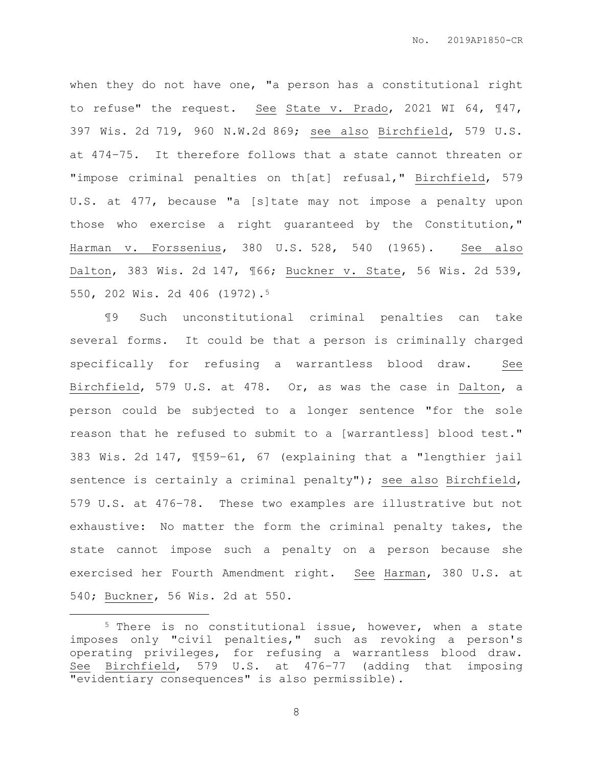when they do not have one, "a person has a constitutional right to refuse" the request. See State v. Prado, 2021 WI 64, ¶47, 397 Wis. 2d 719, 960 N.W.2d 869; see also Birchfield, 579 U.S. at 474–75. It therefore follows that a state cannot threaten or "impose criminal penalties on th[at] refusal," Birchfield, 579 U.S. at 477, because "a [s]tate may not impose a penalty upon those who exercise a right guaranteed by the Constitution," Harman v. Forssenius, 380 U.S. 528, 540 (1965). See also Dalton, 383 Wis. 2d 147, ¶66; Buckner v. State, 56 Wis. 2d 539, 550, 202 Wis. 2d 406 (1972).<sup>5</sup>

¶9 Such unconstitutional criminal penalties can take several forms. It could be that a person is criminally charged specifically for refusing a warrantless blood draw. See Birchfield, 579 U.S. at 478. Or, as was the case in Dalton, a person could be subjected to a longer sentence "for the sole reason that he refused to submit to a [warrantless] blood test." 383 Wis. 2d 147, ¶¶59–61, 67 (explaining that a "lengthier jail sentence is certainly a criminal penalty"); see also Birchfield, 579 U.S. at 476–78. These two examples are illustrative but not exhaustive: No matter the form the criminal penalty takes, the state cannot impose such a penalty on a person because she exercised her Fourth Amendment right. See Harman, 380 U.S. at 540; Buckner, 56 Wis. 2d at 550.

 $\overline{a}$ 

<sup>5</sup> There is no constitutional issue, however, when a state imposes only "civil penalties," such as revoking a person's operating privileges, for refusing a warrantless blood draw. See Birchfield, 579 U.S. at 476–77 (adding that imposing "evidentiary consequences" is also permissible).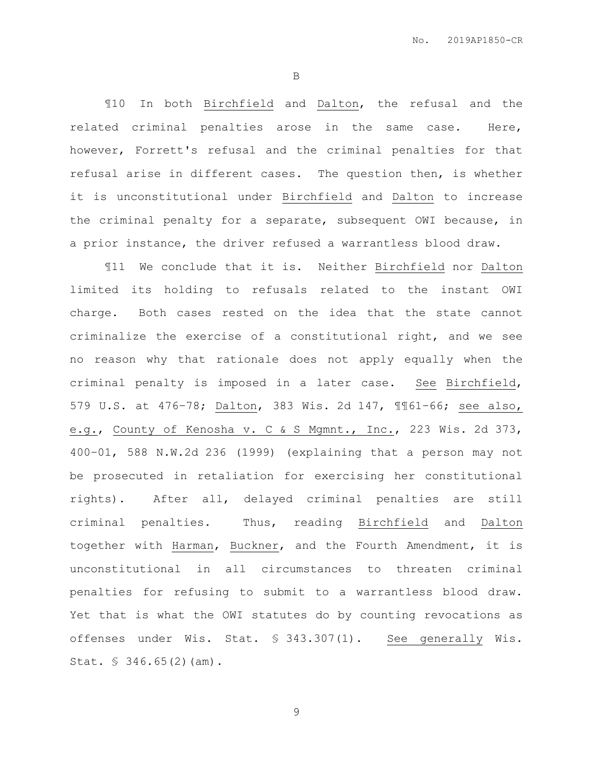B

¶10 In both Birchfield and Dalton, the refusal and the related criminal penalties arose in the same case. Here, however, Forrett's refusal and the criminal penalties for that refusal arise in different cases. The question then, is whether it is unconstitutional under Birchfield and Dalton to increase the criminal penalty for a separate, subsequent OWI because, in a prior instance, the driver refused a warrantless blood draw.

¶11 We conclude that it is. Neither Birchfield nor Dalton limited its holding to refusals related to the instant OWI charge. Both cases rested on the idea that the state cannot criminalize the exercise of a constitutional right, and we see no reason why that rationale does not apply equally when the criminal penalty is imposed in a later case. See Birchfield, 579 U.S. at 476–78; Dalton, 383 Wis. 2d 147, ¶¶61–66; see also, e.g., County of Kenosha v. C & S Mgmnt., Inc., 223 Wis. 2d 373, 400–01, 588 N.W.2d 236 (1999) (explaining that a person may not be prosecuted in retaliation for exercising her constitutional rights). After all, delayed criminal penalties are still criminal penalties. Thus, reading Birchfield and Dalton together with Harman, Buckner, and the Fourth Amendment, it is unconstitutional in all circumstances to threaten criminal penalties for refusing to submit to a warrantless blood draw. Yet that is what the OWI statutes do by counting revocations as offenses under Wis. Stat. § 343.307(1). See generally Wis. Stat. § 346.65(2)(am).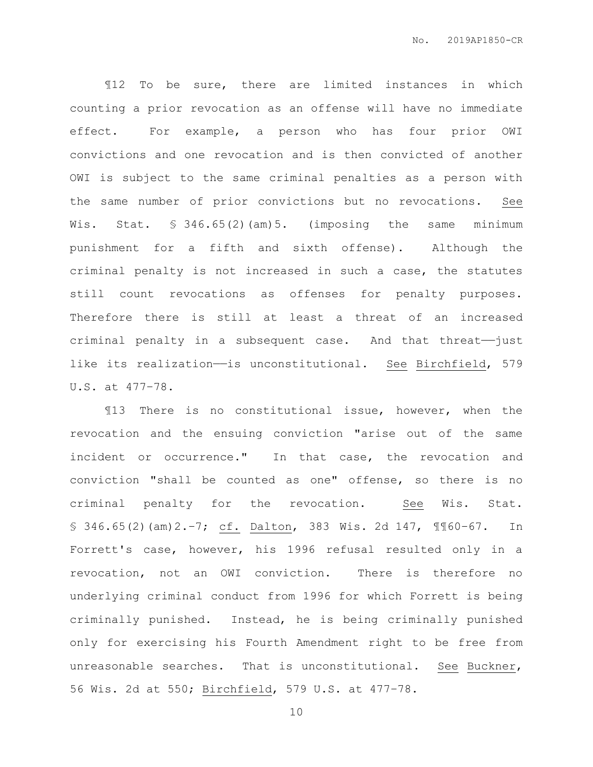¶12 To be sure, there are limited instances in which counting a prior revocation as an offense will have no immediate effect. For example, a person who has four prior OWI convictions and one revocation and is then convicted of another OWI is subject to the same criminal penalties as a person with the same number of prior convictions but no revocations. See Wis. Stat. § 346.65(2)(am)5. (imposing the same minimum punishment for a fifth and sixth offense). Although the criminal penalty is not increased in such a case, the statutes still count revocations as offenses for penalty purposes. Therefore there is still at least a threat of an increased criminal penalty in a subsequent case. And that threat-just like its realization——is unconstitutional. See Birchfield, 579 U.S. at 477–78.

¶13 There is no constitutional issue, however, when the revocation and the ensuing conviction "arise out of the same incident or occurrence." In that case, the revocation and conviction "shall be counted as one" offense, so there is no criminal penalty for the revocation. See Wis. Stat. § 346.65(2)(am)2.–7; cf. Dalton, 383 Wis. 2d 147, ¶¶60–67. In Forrett's case, however, his 1996 refusal resulted only in a revocation, not an OWI conviction. There is therefore no underlying criminal conduct from 1996 for which Forrett is being criminally punished. Instead, he is being criminally punished only for exercising his Fourth Amendment right to be free from unreasonable searches. That is unconstitutional. See Buckner, 56 Wis. 2d at 550; Birchfield, 579 U.S. at 477–78.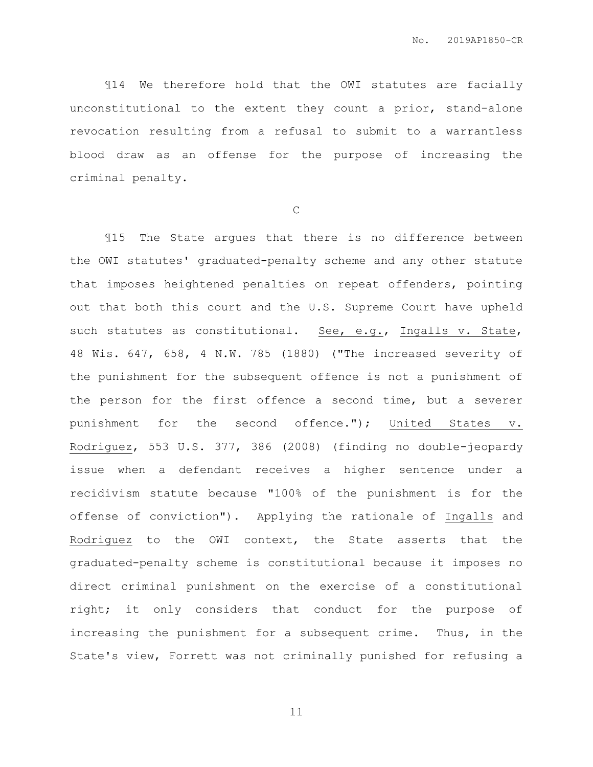¶14 We therefore hold that the OWI statutes are facially unconstitutional to the extent they count a prior, stand-alone revocation resulting from a refusal to submit to a warrantless blood draw as an offense for the purpose of increasing the criminal penalty.

C

¶15 The State argues that there is no difference between the OWI statutes' graduated-penalty scheme and any other statute that imposes heightened penalties on repeat offenders, pointing out that both this court and the U.S. Supreme Court have upheld such statutes as constitutional. See, e.g., Ingalls v. State, 48 Wis. 647, 658, 4 N.W. 785 (1880) ("The increased severity of the punishment for the subsequent offence is not a punishment of the person for the first offence a second time, but a severer punishment for the second offence."); United States v. Rodriguez, 553 U.S. 377, 386 (2008) (finding no double-jeopardy issue when a defendant receives a higher sentence under a recidivism statute because "100% of the punishment is for the offense of conviction"). Applying the rationale of Ingalls and Rodriguez to the OWI context, the State asserts that the graduated-penalty scheme is constitutional because it imposes no direct criminal punishment on the exercise of a constitutional right; it only considers that conduct for the purpose of increasing the punishment for a subsequent crime. Thus, in the State's view, Forrett was not criminally punished for refusing a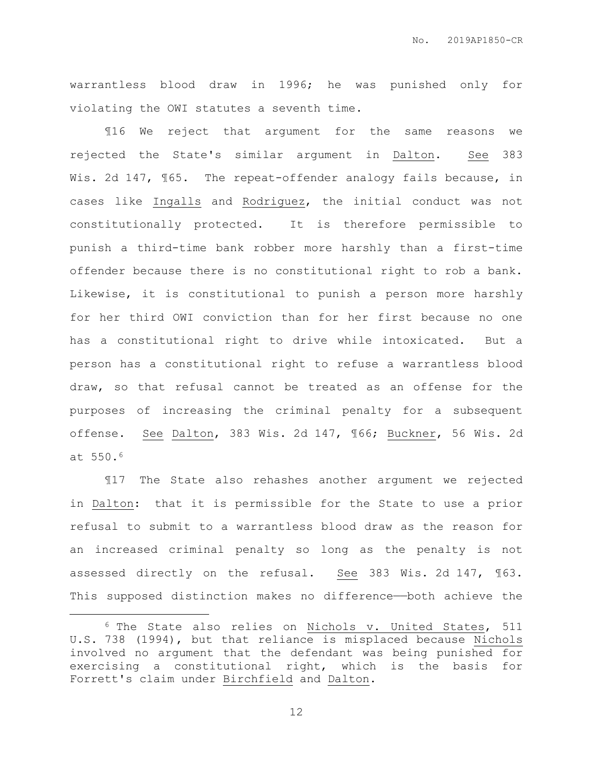warrantless blood draw in 1996; he was punished only for violating the OWI statutes a seventh time.

¶16 We reject that argument for the same reasons we rejected the State's similar argument in Dalton. See 383 Wis. 2d 147,  $\sqrt{65}$ . The repeat-offender analogy fails because, in cases like Ingalls and Rodriguez, the initial conduct was not constitutionally protected. It is therefore permissible to punish a third-time bank robber more harshly than a first-time offender because there is no constitutional right to rob a bank. Likewise, it is constitutional to punish a person more harshly for her third OWI conviction than for her first because no one has a constitutional right to drive while intoxicated. But a person has a constitutional right to refuse a warrantless blood draw, so that refusal cannot be treated as an offense for the purposes of increasing the criminal penalty for a subsequent offense. See Dalton, 383 Wis. 2d 147, ¶66; Buckner, 56 Wis. 2d at 550.<sup>6</sup>

¶17 The State also rehashes another argument we rejected in Dalton: that it is permissible for the State to use a prior refusal to submit to a warrantless blood draw as the reason for an increased criminal penalty so long as the penalty is not assessed directly on the refusal. See 383 Wis. 2d 147, ¶63. This supposed distinction makes no difference—both achieve the

 $\overline{a}$ 

<sup>6</sup> The State also relies on Nichols v. United States, 511 U.S. 738 (1994), but that reliance is misplaced because Nichols involved no argument that the defendant was being punished for exercising a constitutional right, which is the basis for Forrett's claim under Birchfield and Dalton.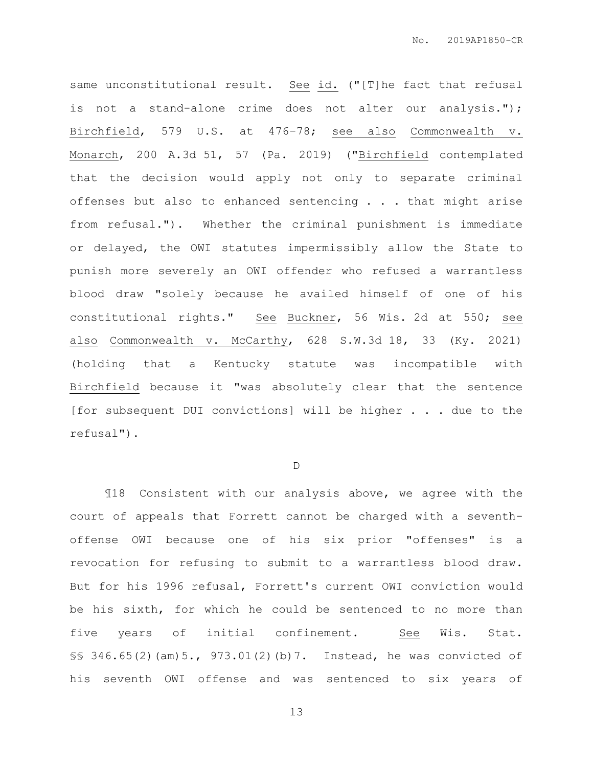same unconstitutional result. See id. ("[T]he fact that refusal is not a stand-alone crime does not alter our analysis."); Birchfield, 579 U.S. at 476–78; see also Commonwealth v. Monarch, 200 A.3d 51, 57 (Pa. 2019) ("Birchfield contemplated that the decision would apply not only to separate criminal offenses but also to enhanced sentencing . . . that might arise from refusal."). Whether the criminal punishment is immediate or delayed, the OWI statutes impermissibly allow the State to punish more severely an OWI offender who refused a warrantless blood draw "solely because he availed himself of one of his constitutional rights." See Buckner, 56 Wis. 2d at 550; see also Commonwealth v. McCarthy, 628 S.W.3d 18, 33 (Ky. 2021) (holding that a Kentucky statute was incompatible with Birchfield because it "was absolutely clear that the sentence [for subsequent DUI convictions] will be higher . . . due to the refusal").

D

¶18 Consistent with our analysis above, we agree with the court of appeals that Forrett cannot be charged with a seventhoffense OWI because one of his six prior "offenses" is a revocation for refusing to submit to a warrantless blood draw. But for his 1996 refusal, Forrett's current OWI conviction would be his sixth, for which he could be sentenced to no more than five years of initial confinement. See Wis. Stat. §§ 346.65(2)(am)5., 973.01(2)(b)7. Instead, he was convicted of his seventh OWI offense and was sentenced to six years of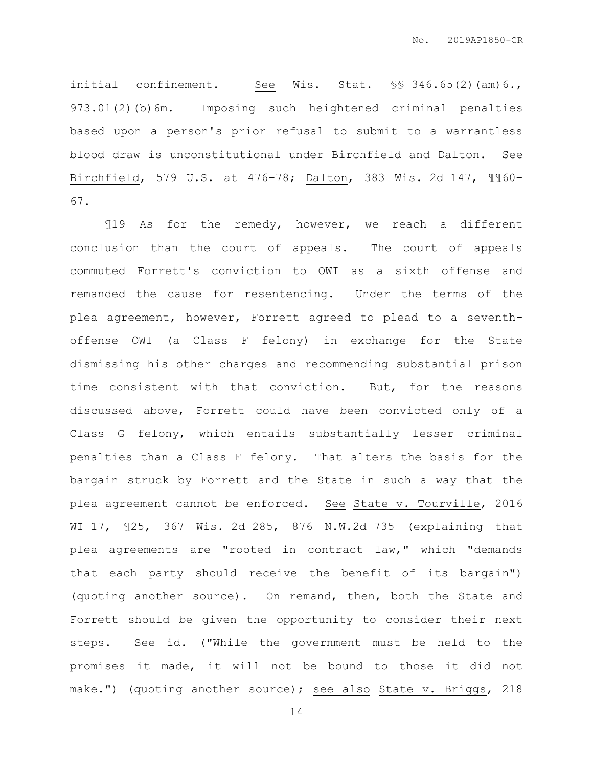initial confinement. See Wis. Stat. \$§ 346.65(2)(am)6., 973.01(2)(b)6m. Imposing such heightened criminal penalties based upon a person's prior refusal to submit to a warrantless blood draw is unconstitutional under Birchfield and Dalton. See Birchfield, 579 U.S. at 476–78; Dalton, 383 Wis. 2d 147, ¶¶60– 67.

¶19 As for the remedy, however, we reach a different conclusion than the court of appeals. The court of appeals commuted Forrett's conviction to OWI as a sixth offense and remanded the cause for resentencing. Under the terms of the plea agreement, however, Forrett agreed to plead to a seventhoffense OWI (a Class F felony) in exchange for the State dismissing his other charges and recommending substantial prison time consistent with that conviction. But, for the reasons discussed above, Forrett could have been convicted only of a Class G felony, which entails substantially lesser criminal penalties than a Class F felony. That alters the basis for the bargain struck by Forrett and the State in such a way that the plea agreement cannot be enforced. See State v. Tourville, 2016 WI 17, ¶25, 367 Wis. 2d 285, 876 N.W.2d 735 (explaining that plea agreements are "rooted in contract law," which "demands that each party should receive the benefit of its bargain") (quoting another source). On remand, then, both the State and Forrett should be given the opportunity to consider their next steps. See id. ("While the government must be held to the promises it made, it will not be bound to those it did not make.") (quoting another source); see also State v. Briggs, 218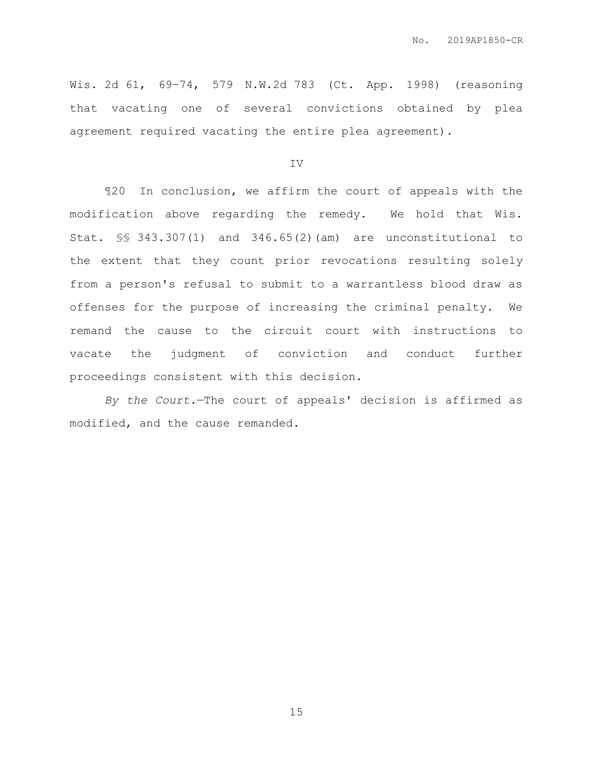Wis. 2d 61, 69–74, 579 N.W.2d 783 (Ct. App. 1998) (reasoning that vacating one of several convictions obtained by plea agreement required vacating the entire plea agreement).

IV

¶20 In conclusion, we affirm the court of appeals with the modification above regarding the remedy. We hold that Wis. Stat. §§ 343.307(1) and 346.65(2)(am) are unconstitutional to the extent that they count prior revocations resulting solely from a person's refusal to submit to a warrantless blood draw as offenses for the purpose of increasing the criminal penalty. We remand the cause to the circuit court with instructions to vacate the judgment of conviction and conduct further proceedings consistent with this decision.

*By the Court.*—The court of appeals' decision is affirmed as modified, and the cause remanded.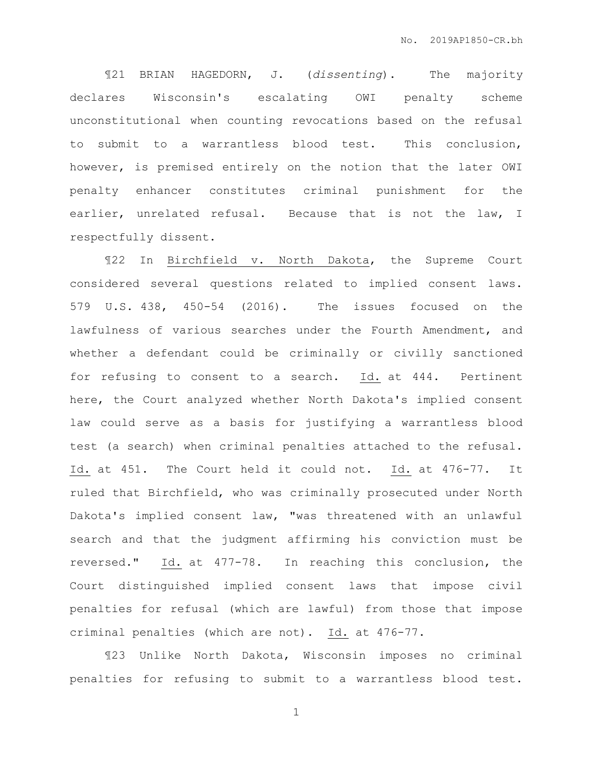¶21 BRIAN HAGEDORN, J. (*dissenting*). The majority declares Wisconsin's escalating OWI penalty scheme unconstitutional when counting revocations based on the refusal to submit to a warrantless blood test. This conclusion, however, is premised entirely on the notion that the later OWI penalty enhancer constitutes criminal punishment for the earlier, unrelated refusal. Because that is not the law, I respectfully dissent.

¶22 In Birchfield v. North Dakota, the Supreme Court considered several questions related to implied consent laws. 579 U.S. 438, 450-54 (2016). The issues focused on the lawfulness of various searches under the Fourth Amendment, and whether a defendant could be criminally or civilly sanctioned for refusing to consent to a search. Id. at 444. Pertinent here, the Court analyzed whether North Dakota's implied consent law could serve as a basis for justifying a warrantless blood test (a search) when criminal penalties attached to the refusal. Id. at 451. The Court held it could not. Id. at 476-77. It ruled that Birchfield, who was criminally prosecuted under North Dakota's implied consent law, "was threatened with an unlawful search and that the judgment affirming his conviction must be reversed." Id. at 477-78. In reaching this conclusion, the Court distinguished implied consent laws that impose civil penalties for refusal (which are lawful) from those that impose criminal penalties (which are not). Id. at 476-77.

¶23 Unlike North Dakota, Wisconsin imposes no criminal penalties for refusing to submit to a warrantless blood test.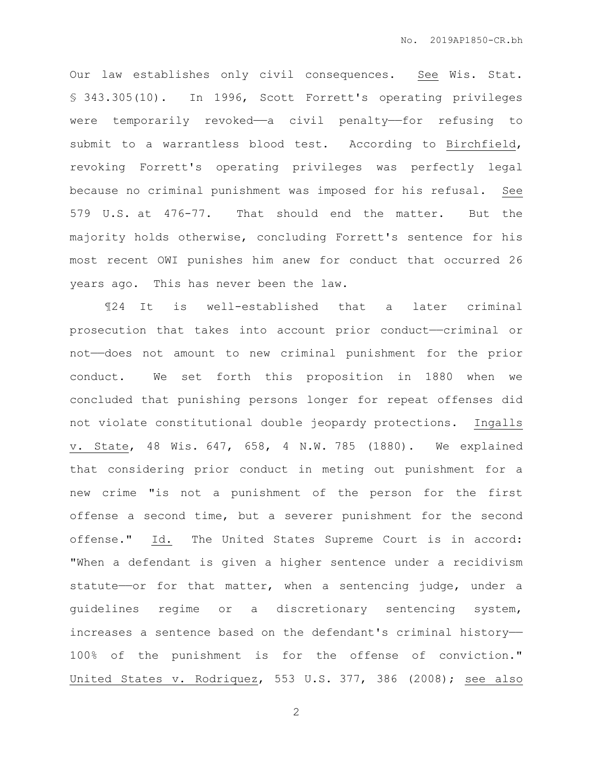Our law establishes only civil consequences. See Wis. Stat. § 343.305(10). In 1996, Scott Forrett's operating privileges were temporarily revoked—a civil penalty—for refusing to submit to a warrantless blood test. According to Birchfield, revoking Forrett's operating privileges was perfectly legal because no criminal punishment was imposed for his refusal. See 579 U.S. at 476-77. That should end the matter. But the majority holds otherwise, concluding Forrett's sentence for his most recent OWI punishes him anew for conduct that occurred 26 years ago. This has never been the law.

¶24 It is well-established that a later criminal prosecution that takes into account prior conduct——criminal or not——does not amount to new criminal punishment for the prior conduct. We set forth this proposition in 1880 when we concluded that punishing persons longer for repeat offenses did not violate constitutional double jeopardy protections. Ingalls v. State, 48 Wis. 647, 658, 4 N.W. 785 (1880). We explained that considering prior conduct in meting out punishment for a new crime "is not a punishment of the person for the first offense a second time, but a severer punishment for the second offense." Id. The United States Supreme Court is in accord: "When a defendant is given a higher sentence under a recidivism statute—or for that matter, when a sentencing judge, under a guidelines regime or a discretionary sentencing system, increases a sentence based on the defendant's criminal history—— 100% of the punishment is for the offense of conviction." United States v. Rodriquez, 553 U.S. 377, 386 (2008); see also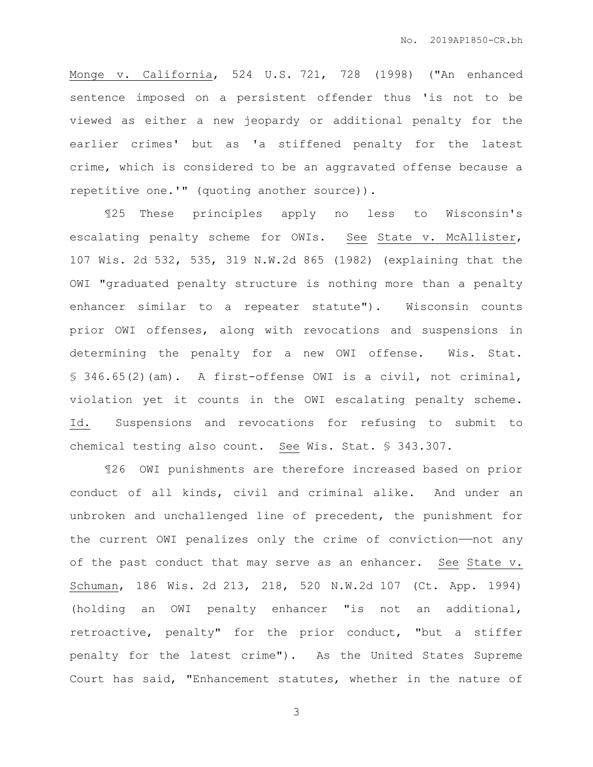Monge v. California, 524 U.S. 721, 728 (1998) ("An enhanced sentence imposed on a persistent offender thus 'is not to be viewed as either a new jeopardy or additional penalty for the earlier crimes' but as 'a stiffened penalty for the latest crime, which is considered to be an aggravated offense because a repetitive one.'" (quoting another source)).

¶25 These principles apply no less to Wisconsin's escalating penalty scheme for OWIs. See State v. McAllister, 107 Wis. 2d 532, 535, 319 N.W.2d 865 (1982) (explaining that the OWI "graduated penalty structure is nothing more than a penalty enhancer similar to a repeater statute"). Wisconsin counts prior OWI offenses, along with revocations and suspensions in determining the penalty for a new OWI offense. Wis. Stat. § 346.65(2)(am). A first-offense OWI is a civil, not criminal, violation yet it counts in the OWI escalating penalty scheme. Id. Suspensions and revocations for refusing to submit to chemical testing also count. See Wis. Stat. § 343.307.

¶26 OWI punishments are therefore increased based on prior conduct of all kinds, civil and criminal alike. And under an unbroken and unchallenged line of precedent, the punishment for the current OWI penalizes only the crime of conviction——not any of the past conduct that may serve as an enhancer. See State v. Schuman, 186 Wis. 2d 213, 218, 520 N.W.2d 107 (Ct. App. 1994) (holding an OWI penalty enhancer "is not an additional, retroactive, penalty" for the prior conduct, "but a stiffer penalty for the latest crime"). As the United States Supreme Court has said, "Enhancement statutes, whether in the nature of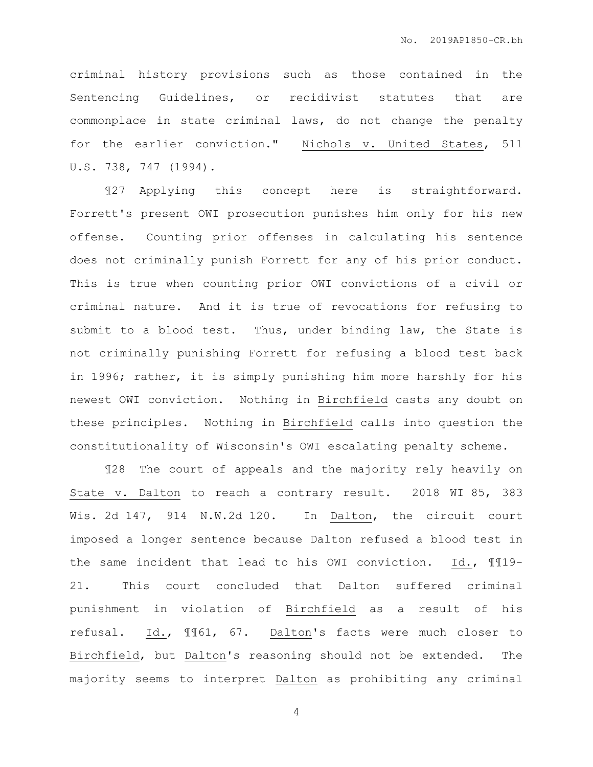criminal history provisions such as those contained in the Sentencing Guidelines, or recidivist statutes that are commonplace in state criminal laws, do not change the penalty for the earlier conviction." Nichols v. United States, 511 U.S. 738, 747 (1994).

¶27 Applying this concept here is straightforward. Forrett's present OWI prosecution punishes him only for his new offense. Counting prior offenses in calculating his sentence does not criminally punish Forrett for any of his prior conduct. This is true when counting prior OWI convictions of a civil or criminal nature. And it is true of revocations for refusing to submit to a blood test. Thus, under binding law, the State is not criminally punishing Forrett for refusing a blood test back in 1996; rather, it is simply punishing him more harshly for his newest OWI conviction. Nothing in Birchfield casts any doubt on these principles. Nothing in Birchfield calls into question the constitutionality of Wisconsin's OWI escalating penalty scheme.

¶28 The court of appeals and the majority rely heavily on State v. Dalton to reach a contrary result. 2018 WI 85, 383 Wis. 2d 147, 914 N.W.2d 120. In Dalton, the circuit court imposed a longer sentence because Dalton refused a blood test in the same incident that lead to his OWI conviction. Id., ¶¶19- 21. This court concluded that Dalton suffered criminal punishment in violation of Birchfield as a result of his refusal. Id., ¶¶61, 67. Dalton's facts were much closer to Birchfield, but Dalton's reasoning should not be extended. The majority seems to interpret Dalton as prohibiting any criminal